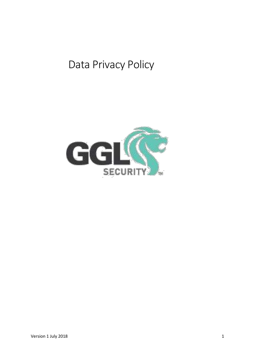# Data Privacy Policy

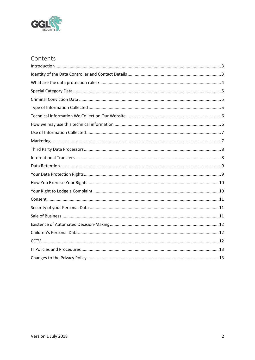

# Contents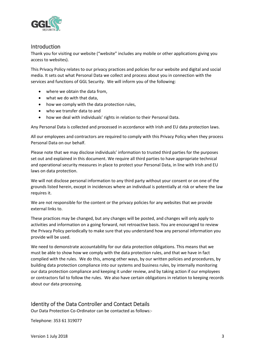

## <span id="page-2-0"></span>Introduction

Thank you for visiting our website ("website" includes any mobile or other applications giving you access to websites).

This Privacy Policy relates to our privacy practices and policies for our website and digital and social media. It sets out what Personal Data we collect and process about you in connection with the services and functions of GGL Security. We will inform you of the following:

- where we obtain the data from,
- what we do with that data,
- how we comply with the data protection rules,
- who we transfer data to and
- how we deal with individuals' rights in relation to their Personal Data.

Any Personal Data is collected and processed in accordance with Irish and EU data protection laws.

All our employees and contractors are required to comply with this Privacy Policy when they process Personal Data on our behalf.

Please note that we may disclose individuals' information to trusted third parties for the purposes set out and explained in this document. We require all third parties to have appropriate technical and operational security measures in place to protect your Personal Data, in line with Irish and EU laws on data protection.

We will not disclose personal information to any third party without your consent or on one of the grounds listed herein, except in incidences where an individual is potentially at risk or where the law requires it.

We are not responsible for the content or the privacy policies for any websites that we provide external links to.

These practices may be changed, but any changes will be posted, and changes will only apply to activities and information on a going forward, not retroactive basis. You are encouraged to review the Privacy Policy periodically to make sure that you understand how any personal information you provide will be used.

We need to demonstrate accountability for our data protection obligations. This means that we must be able to show how we comply with the data protection rules, and that we have in fact complied with the rules. We do this, among other ways, by our written policies and procedures, by building data protection compliance into our systems and business rules, by internally monitoring our data protection compliance and keeping it under review, and by taking action if our employees or contractors fail to follow the rules. We also have certain obligations in relation to keeping records about our data processing.

## <span id="page-2-1"></span>Identity of the Data Controller and Contact Details

Our Data Protection Co-Ordinator can be contacted as follows:-

Telephone: 353 61 319077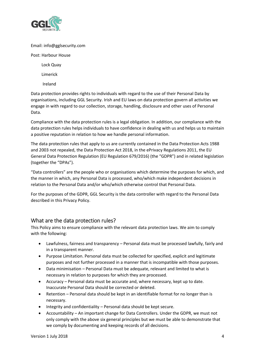

#### Email: info@gglsecurity.com

#### Post: Harbour House

Lock Quay

Limerick

Ireland

Data protection provides rights to individuals with regard to the use of their Personal Data by organisations, including GGL Security. Irish and EU laws on data protection govern all activities we engage in with regard to our collection, storage, handling, disclosure and other uses of Personal Data.

Compliance with the data protection rules is a legal obligation. In addition, our compliance with the data protection rules helps individuals to have confidence in dealing with us and helps us to maintain a positive reputation in relation to how we handle personal information.

The data protection rules that apply to us are currently contained in the Data Protection Acts 1988 and 2003 not repealed, the Data Protection Act 2018, in the ePrivacy Regulations 2011, the EU General Data Protection Regulation (EU Regulation 679/2016) (the "GDPR") and in related legislation (together the "DPAs").

"Data controllers" are the people who or organisations which determine the purposes for which, and the manner in which, any Personal Data is processed, who/which make independent decisions in relation to the Personal Data and/or who/which otherwise control that Personal Data.

For the purposes of the GDPR, GGL Security is the data controller with regard to the Personal Data described in this Privacy Policy.

## <span id="page-3-0"></span>What are the data protection rules?

This Policy aims to ensure compliance with the relevant data protection laws. We aim to comply with the following:

- Lawfulness, fairness and transparency Personal data must be processed lawfully, fairly and in a transparent manner.
- Purpose Limitation. Personal data must be collected for specified, explicit and legitimate purposes and not further processed in a manner that is incompatible with those purposes.
- Data minimisation Personal Data must be adequate, relevant and limited to what is necessary in relation to purposes for which they are processed.
- Accuracy Personal data must be accurate and, where necessary, kept up to date. Inaccurate Personal Data should be corrected or deleted.
- Retention Personal data should be kept in an identifiable format for no longer than is necessary.
- Integrity and confidentiality Personal data should be kept secure.
- Accountability An important change for Data Controllers. Under the GDPR, we must not only comply with the above six general principles but we must be able to demonstrate that we comply by documenting and keeping records of all decisions.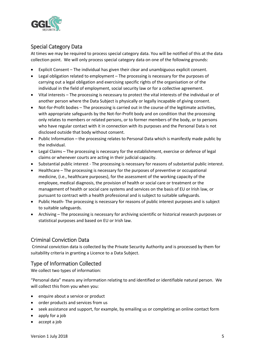

## <span id="page-4-0"></span>Special Category Data

At times we may be required to process special category data. You will be notified of this at the data collection point. We will only process special category data on one of the following grounds:

- Explicit Consent The individual has given their clear and unambiguous explicit consent.
- Legal obligation related to employment The processing is necessary for the purposes of carrying out a legal obligation and exercising specific rights of the organisation or of the individual in the field of employment, social security law or for a collective agreement.
- Vital interests The processing is necessary to protect the vital interests of the individual or of another person where the Data Subject is physically or legally incapable of giving consent.
- Not-for-Profit bodies The processing is carried out in the course of the legitimate activities, with appropriate safeguards by the Not-for-Profit body and on condition that the processing only relates to members or related persons, or to former members of the body, or to persons who have regular contact with it in connection with its purposes and the Personal Data is not disclosed outside that body without consent.
- Public Information the processing relates to Personal Data which is manifestly made public by the individual.
- Legal Claims The processing is necessary for the establishment, exercise or defence of legal claims or whenever courts are acting in their judicial capacity.
- Substantial public interest The processing is necessary for reasons of substantial public interest.
- Healthcare The processing is necessary for the purposes of preventive or occupational medicine, (i.e., healthcare purposes), for the assessment of the working capacity of the employee, medical diagnosis, the provision of health or social care or treatment or the management of health or social care systems and services on the basis of EU or Irish law, or pursuant to contract with a health professional and is subject to suitable safeguards.
- Public Heath- The processing is necessary for reasons of public interest purposes and is subject to suitable safeguards.
- Archiving The processing is necessary for archiving scientific or historical research purposes or statistical purposes and based on EU or Irish law.

## <span id="page-4-1"></span>Criminal Conviction Data

Criminal conviction data is collected by the Private Security Authority and is processed by them for suitability criteria in granting a Licence to a Data Subject.

## <span id="page-4-2"></span>Type of Information Collected

We collect two types of information:

"Personal data" means any information relating to and identified or identifiable natural person. We will collect this from you when you:

- enquire about a service or product
- order products and services from us
- seek assistance and support, for example, by emailing us or completing an online contact form
- apply for a job
- accept a job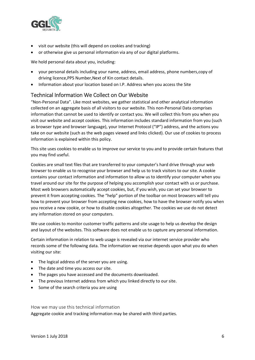

- visit our website (this will depend on cookies and tracking)
- or otherwise give us personal information via any of our digital platforms.

We hold personal data about you, including:

- your personal details including your name, address, email address, phone numbers,copy of driving licence,PPS Number,Next of Kin contact details.
- Information about your location based on I.P. Address when you access the Site

## <span id="page-5-0"></span>Technical Information We Collect on Our Website

"Non-Personal Data". Like most websites, we gather statistical and other analytical information collected on an aggregate basis of all visitors to our website. This non-Personal Data comprises information that cannot be used to identify or contact you. We will collect this from you when you visit our website and accept cookies. This information includes standard information from you (such as browser type and browser language), your Internet Protocol ("IP") address, and the actions you take on our website (such as the web pages viewed and links clicked). Our use of cookies to process information is explained within this policy.

This site uses cookies to enable us to improve our service to you and to provide certain features that you may find useful.

Cookies are small text files that are transferred to your computer's hard drive through your web browser to enable us to recognise your browser and help us to track visitors to our site. A cookie contains your contact information and information to allow us to identify your computer when you travel around our site for the purpose of helping you accomplish your contact with us or purchase. Most web browsers automatically accept cookies, but, if you wish, you can set your browser to prevent it from accepting cookies. The "help" portion of the toolbar on most browsers will tell you how to prevent your browser from accepting new cookies, how to have the browser notify you when you receive a new cookie, or how to disable cookies altogether. The cookies we use do not detect any information stored on your computers.

We use cookies to monitor customer traffic patterns and site usage to help us develop the design and layout of the websites. This software does not enable us to capture any personal information.

Certain information in relation to web usage is revealed via our internet service provider who records some of the following data. The information we receive depends upon what you do when visiting our site:

- The logical address of the server you are using.
- The date and time you access our site.
- The pages you have accessed and the documents downloaded.
- The previous Internet address from which you linked directly to our site.
- Some of the search criteria you are using

<span id="page-5-1"></span>How we may use this technical information Aggregate cookie and tracking information may be shared with third parties.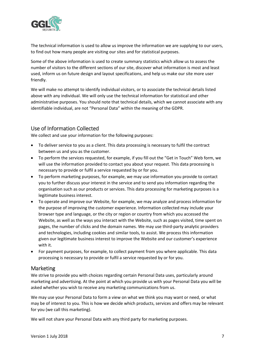

The technical information is used to allow us improve the information we are supplying to our users, to find out how many people are visiting our sites and for statistical purposes.

Some of the above information is used to create summary statistics which allow us to assess the number of visitors to the different sections of our site, discover what information is most and least used, inform us on future design and layout specifications, and help us make our site more user friendly.

We will make no attempt to identify individual visitors, or to associate the technical details listed above with any individual. We will only use the technical information for statistical and other administrative purposes. You should note that technical details, which we cannot associate with any identifiable individual, are not "Personal Data" within the meaning of the GDPR.

## <span id="page-6-0"></span>Use of Information Collected

We collect and use your information for the following purposes:

- To deliver service to you as a client. This data processing is necessary to fulfil the contract between us and you as the customer.
- To perform the services requested, for example, if you fill out the "Get in Touch" Web form, we will use the information provided to contact you about your request. This data processing is necessary to provide or fulfil a service requested by or for you.
- To perform marketing purposes, for example, we may use information you provide to contact you to further discuss your interest in the service and to send you information regarding the organisation such as our products or services. This data processing for marketing purposes is a legitimate business interest.
- To operate and improve our Website, for example, we may analyze and process information for the purpose of improving the customer experience. Information collected may include your browser type and language, or the city or region or country from which you accessed the Website, as well as the ways you interact with the Website, such as pages visited, time spent on pages, the number of clicks and the domain names. We may use third-party analytic providers and technologies, including cookies and similar tools, to assist. We process this information given our legitimate business interest to improve the Website and our customer's experience with it.
- For payment purposes, for example, to collect payment from you where applicable. This data processing is necessary to provide or fulfil a service requested by or for you.

## <span id="page-6-1"></span>Marketing

We strive to provide you with choices regarding certain Personal Data uses, particularly around marketing and advertising. At the point at which you provide us with your Personal Data you will be asked whether you wish to receive any marketing communications from us.

We may use your Personal Data to form a view on what we think you may want or need, or what may be of interest to you. This is how we decide which products, services and offers may be relevant for you (we call this marketing).

We will not share your Personal Data with any third party for marketing purposes.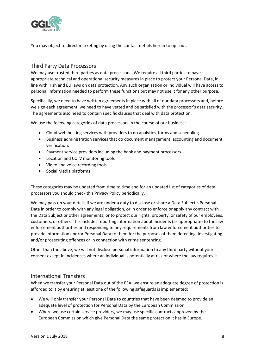

You may object to direct marketing by using the contact details herein to opt-out.

## <span id="page-7-0"></span>Third Party Data Processors

We may use trusted third parties as data processors. We require all third parties to have appropriate technical and operational security measures in place to protect your Personal Data, in line with Irish and EU laws on data protection. Any such organisation or individual will have access to personal information needed to perform these functions but may not use it for any other purpose.

Specifically, we need to have written agreements in place with all of our data processors and, before we sign each agreement, we need to have vetted and be satisfied with the processor's data security. The agreements also need to contain specific clauses that deal with data protection.

We use the following categories of data processors in the course of our business:

- Cloud web hosting services with providers to do analytics, forms and scheduling.
- Business administration services that do document management, accounting and document verification.
- Payment service providers including the bank and payment processors.
- Location and CCTV monitoring tools
- Video and voice recording tools
- Social Media platforms

These categories may be updated from time to time and for an updated list of categories of data processors you should check this Privacy Policy periodically.

We may pass on your details if we are under a duty to disclose or share a Data Subject's Personal Data in order to comply with any legal obligation, or in order to enforce or apply any contract with the Data Subject or other agreements; or to protect our rights, property, or safety of our employees, customers, or others. This includes reporting information about incidents (as appropriate) to the law enforcement authorities and responding to any requirements from law enforcement authorities to provide information and/or Personal Data to them for the purposes of them detecting, investigating and/or prosecuting offences or in connection with crime sentencing.

Other than the above, we will not disclose personal information to any third party without your consent except in incidences where an individual is potentially at risk or where the law requires it.

#### <span id="page-7-1"></span>International Transfers

When we transfer your Personal Data out of the EEA, we ensure an adequate degree of protection is afforded to it by ensuring at least one of the following safeguards is implemented:

- We will only transfer your Personal Data to countries that have been deemed to provide an adequate level of protection for Personal Data by the European Commission.
- Where we use certain service providers, we may use specific contracts approved by the European Commission which give Personal Data the same protection it has in Europe.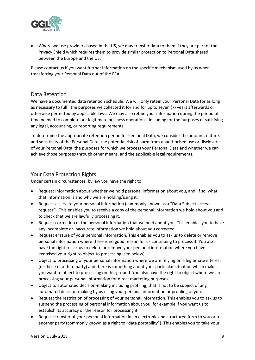

• Where we use providers based in the US, we may transfer data to them if they are part of the Privacy Shield which requires them to provide similar protection to Personal Data shared between the Europe and the US.

Please contact us if you want further information on the specific mechanism used by us when transferring your Personal Data out of the EEA.

## <span id="page-8-0"></span>Data Retention

We have a documented data retention schedule. We will only retain your Personal Data for as long as necessary to fulfil the purposes we collected it for and for up to seven (7) years afterwards or otherwise permitted by applicable laws. We may also retain your information during the period of time needed to complete our legitimate business operations, including for the purposes of satisfying any legal, accounting, or reporting requirements.

To determine the appropriate retention period for Personal Data, we consider the amount, nature, and sensitivity of the Personal Data, the potential risk of harm from unauthorised use or disclosure of your Personal Data, the purposes for which we process your Personal Data and whether we can achieve those purposes through other means, and the applicable legal requirements.

### <span id="page-8-1"></span>Your Data Protection Rights

Under certain circumstances, by law you have the right to:

- Request information about whether we hold personal information about you, and, if so, what that information is and why we are holding/using it.
- Request access to your personal information (commonly known as a "Data Subject access request"). This enables you to receive a copy of the personal information we hold about you and to check that we are lawfully processing it.
- Request correction of the personal information that we hold about you. This enables you to have any incomplete or inaccurate information we hold about you corrected.
- Request erasure of your personal information. This enables you to ask us to delete or remove personal information where there is no good reason for us continuing to process it. You also have the right to ask us to delete or remove your personal information where you have exercised your right to object to processing (see below).
- Object to processing of your personal information where we are relying on a legitimate interest (or those of a third party) and there is something about your particular situation which makes you want to object to processing on this ground. You also have the right to object where we are processing your personal information for direct marketing purposes.
- Object to automated decision-making including profiling, that is not to be subject of any automated decision-making by us using your personal information or profiling of you.
- Request the restriction of processing of your personal information. This enables you to ask us to suspend the processing of personal information about you, for example if you want us to establish its accuracy or the reason for processing it.
- Request transfer of your personal information in an electronic and structured form to you or to another party (commonly known as a right to "data portability"). This enables you to take your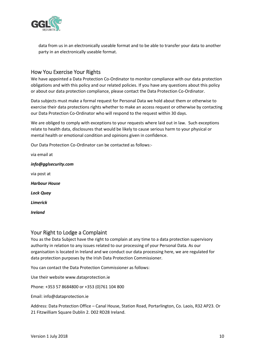

data from us in an electronically useable format and to be able to transfer your data to another party in an electronically useable format.

## <span id="page-9-0"></span>How You Exercise Your Rights

We have appointed a Data Protection Co-Ordinator to monitor compliance with our data protection obligations and with this policy and our related policies. If you have any questions about this policy or about our data protection compliance, please contact the Data Protection Co-Ordinator.

Data subjects must make a formal request for Personal Data we hold about them or otherwise to exercise their data protections rights whether to make an access request or otherwise by contacting our Data Protection Co-Ordinator who will respond to the request within 30 days.

We are obliged to comply with exceptions to your requests where laid out in law. Such exceptions relate to health data, disclosures that would be likely to cause serious harm to your physical or mental health or emotional condition and opinions given in confidence.

Our Data Protection Co-Ordinator can be contacted as follows:-

via email at *info@gglsecurity.com* via post at *Harbour House Lock Quay Limerick Ireland*

## <span id="page-9-1"></span>Your Right to Lodge a Complaint

You as the Data Subject have the right to complain at any time to a data protection supervisory authority in relation to any issues related to our processing of your Personal Data. As our organisation is located in Ireland and we conduct our data processing here, we are regulated for data protection purposes by the Irish Data Protection Commissioner.

You can contact the Data Protection Commissioner as follows:

Use their website www.dataprotection.ie

Phone: +353 57 8684800 or +353 (0)761 104 800

Email: info@dataprotection.ie

Address: Data Protection Office – Canal House, Station Road, Portarlington, Co. Laois, R32 AP23. Or 21 Fitzwilliam Square Dublin 2. D02 RD28 Ireland.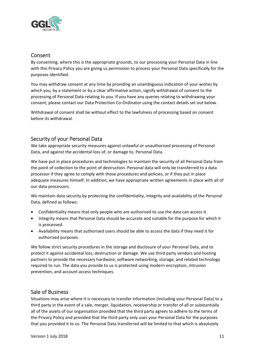

## <span id="page-10-0"></span>Consent

By consenting, where this is the appropriate grounds, to our processing your Personal Data in line with this Privacy Policy you are giving us permission to process your Personal Data specifically for the purposes identified.

You may withdraw consent at any time by providing an unambiguous indication of your wishes by which you, by a statement or by a clear affirmative action, signify withdrawal of consent to the processing of Personal Data relating to you. If you have any queries relating to withdrawing your consent, please contact our Data Protection Co-Ordinator using the contact details set out below.

Withdrawal of consent shall be without effect to the lawfulness of processing based on consent before its withdrawal.

## <span id="page-10-1"></span>Security of your Personal Data

We take appropriate security measures against unlawful or unauthorised processing of Personal Data, and against the accidental loss of, or damage to, Personal Data.

We have put in place procedures and technologies to maintain the security of all Personal Data from the point of collection to the point of destruction. Personal data will only be transferred to a data processor if they agree to comply with those procedures and policies, or if they put in place adequate measures himself. In addition, we have appropriate written agreements in place with all of our data processors.

We maintain data security by protecting the confidentiality, integrity and availability of the Personal Data, defined as follows:

- Confidentiality means that only people who are authorised to use the data can access it.
- Integrity means that Personal Data should be accurate and suitable for the purpose for which it is processed.
- Availability means that authorised users should be able to access the data if they need it for authorised purposes.

We follow strict security procedures in the storage and disclosure of your Personal Data, and to protect it against accidental loss, destruction or damage. We use third party vendors and hosting partners to provide the necessary hardware, software networking, storage, and related technology required to run. The data you provide to us is protected using modern encryption, intrusion prevention, and account access techniques.

## <span id="page-10-2"></span>Sale of Business

Situations may arise where it is necessary to transfer information (including your Personal Data) to a third party in the event of a sale, merger, liquidation, receivership or transfer of all or substantially all of the assets of our organisation provided that the third party agrees to adhere to the terms of the Privacy Policy and provided that the third party only uses your Personal Data for the purposes that you provided it to us. The Personal Data transferred will be limited to that which is absolutely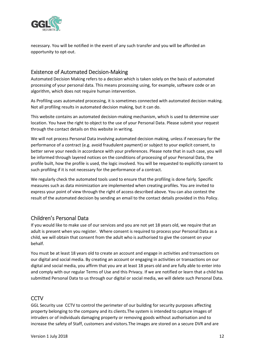

necessary. You will be notified in the event of any such transfer and you will be afforded an opportunity to opt-out.

## <span id="page-11-0"></span>Existence of Automated Decision-Making

Automated Decision Making refers to a decision which is taken solely on the basis of automated processing of your personal data. This means processing using, for example, software code or an algorithm, which does not require human intervention.

As Profiling uses automated processing, it is sometimes connected with automated decision making. Not all profiling results in automated decision making, but it can do.

This website contains an automated decision-making mechanism, which is used to determine user location. You have the right to object to the use of your Personal Data. Please submit your request through the contact details on this website in writing.

We will not process Personal Data involving automated decision making, unless if necessary for the performance of a contract (e.g. avoid fraudulent payment) or subject to your explicit consent, to better serve your needs in accordance with your preferences. Please note that in such case, you will be informed through layered notices on the conditions of processing of your Personal Data, the profile built, how the profile is used, the logic involved. You will be requested to explicitly consent to such profiling if it is not necessary for the performance of a contract.

We regularly check the automated tools used to ensure that the profiling is done fairly. Specific measures such as data minimization are implemented when creating profiles. You are invited to express your point of view through the right of access described above. You can also contest the result of the automated decision by sending an email to the contact details provided in this Policy.

## <span id="page-11-1"></span>Children's Personal Data

If you would like to make use of our services and you are not yet 18 years old, we require that an adult is present when you register. Where consent is required to process your Personal Data as a child, we will obtain that consent from the adult who is authorised to give the consent on your behalf.

You must be at least 18 years old to create an account and engage in activities and transactions on our digital and social media. By creating an account or engaging in activities or transactions on our digital and social media, you affirm that you are at least 18 years old and are fully able to enter into and comply with our regular Terms of Use and this Privacy. If we are notified or learn that a child has submitted Personal Data to us through our digital or social media, we will delete such Personal Data.

## <span id="page-11-2"></span>**CCTV**

GGL Security use CCTV to control the perimeter of our building for security purposes affecting property belonging to the company and its clients.The system is intended to capture images of intruders or of individuals damaging property or removing goods without authorisation and to increase the safety of Staff, customers and visitors.The images are stored on a secure DVR and are